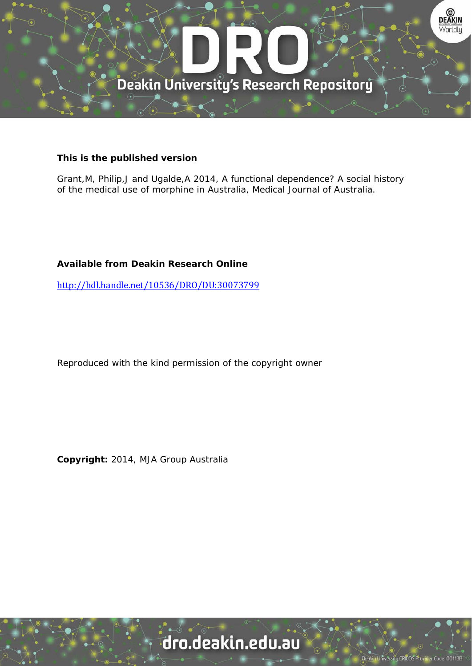

## **This is the published version**

Grant,M, Philip,J and Ugalde,A 2014, A functional dependence? A social history of the medical use of morphine in Australia, Medical Journal of Australia.

## **Available from Deakin Research Online**

http://hdl.handle.net/10536/DRO/DU:30073799

Reproduced with the kind permission of the copyright owner

**Copyright:** 2014, MJA Group Australia

# dro.deakin.edu.au

sity CRICOS Pro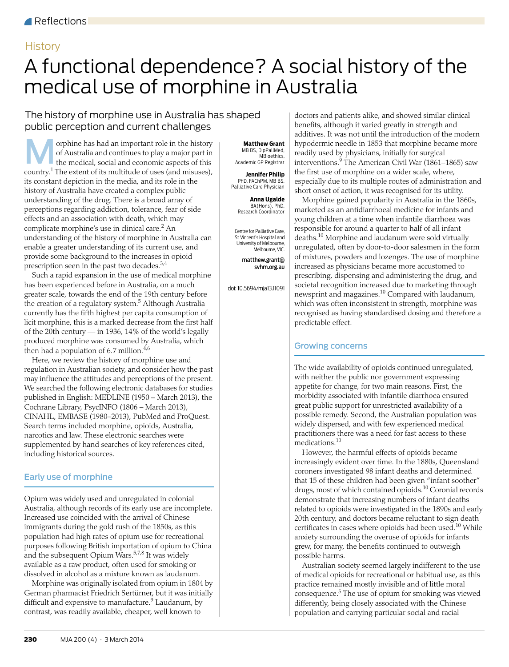## **History**

## <span id="page-1-0"></span>A functional dependence? A social history of the medical use of morphine in Australia

## The history of morphine use in Australia has shaped public perception and current challenges

**orphine has had an important role in the history of Australia and continues to play a major part in MB BS, DipPallMed, the medical, social and economic aspects of this Matthew Grant Continues are all the medical, social a** of Australia and continues to play a major part in the medical, social and economic aspects of this country.<sup>1</sup> The extent of its multitude of uses (and misuses), its constant depiction in the media, and its role in the history of Australia have created a complex public understanding of the drug. There is a broad array of perceptions regarding addiction, tolerance, fear of side effects and an association with death, which may complicate morphine's use in clinical care.<sup>[2](#page-2-1)</sup> An understanding of the history of morphine in Australia can enable a greater understanding of its current use, and provide some background to the increases in opioid prescription seen in the past two decades[.3,](#page-2-2)[4](#page-2-3)

Such a rapid expansion in the use of medical morphine has been experienced before in Australia, on a much greater scale, towards the end of the 19th century before the creation of a regulatory system.<sup>[5](#page-2-4)</sup> Although Australia currently has the fifth highest per capita consumption of licit morphine, this is a marked decrease from the first half of the 20th century — in 1936, 14% of the world's legally produced morphine was consumed by Australia, which then had a population of 6.7 million. $4,6$  $4,6$ 

Here, we review the history of morphine use and regulation in Australian society, and consider how the past may influence the attitudes and perceptions of the present. We searched the following electronic databases for studies published in English: MEDLINE (1950 – March 2013), the Cochrane Library, PsycINFO (1806 – March 2013), CINAHL, EMBASE (1980–2013), PubMed and ProQuest. Search terms included morphine, opioids, Australia, narcotics and law. These electronic searches were supplemented by hand searches of key references cited, including historical sources.

### Early use of morphine

1<sup>1</sup><br>purposes following British importation of opium to China and the subsequent Opium Wars.<sup>5,[7](#page-2-6),8</sup> It was widely and the sussequent of plant that the Medical Journal of Australia 2014  $\frac{1}{2}$  cas a law ploud dissolved in alcohol as a mixture known as laudanum. Opium was widely used and unregulated in colonial Australia, although records of its early use are incomplete. Increased use coincided with the arrival of Chinese immigrants during the gold rush of the 1850s, as this population had high rates of opium use for recreational

Morphine was originally isolated from opium in 1804 by German pharmacist Friedrich Sertürner, but it was initially difficult and expensive to manufacture.<sup>[9](#page-2-8)</sup> Laudanum, by contrast, was readily available, cheaper, well known to

 MB BS, DipPallMed, MBioethics, Academic GP Registrar

**Jennifer Philip** PhD, FAChPM, MB BS, Palliative Care Physician

> **Anna Ugalde** BA(Hons), PhD, Research Coordinator

Centre for Palliative Care, St Vincent's Hospital and University of Melbourne, Melbourne, VIC.

> matthew.grant@ svhm.org.au

doi: 10.5694/mja13.11091

doctors and patients alike, and showed similar clinical benefits, although it varied greatly in strength and additives. It was not until the introduction of the modern hypodermic needle in 1853 that morphine became more readily used by physicians, initially for surgical interventions.[9](#page-2-8) The American Civil War (1861–1865) saw the first use of morphine on a wider scale, where, especially due to its multiple routes of administration and short onset of action, it was recognised for its utility.

Morphine gained popularity in Australia in the 1860s, marketed as an antidiarrhoeal medicine for infants and young children at a time when infantile diarrhoea was responsible for around a quarter to half of all infant deaths.[10](#page-2-9) Morphine and laudanum were sold virtually unregulated, often by door-to-door salesmen in the form of mixtures, powders and lozenges. The use of morphine increased as physicians became more accustomed to prescribing, dispensing and administering the drug, and societal recognition increased due to marketing through newsprint and magazines.[10](#page-2-9) Compared with laudanum, which was often inconsistent in strength, morphine was recognised as having standardised dosing and therefore a predictable effect.

### Growing concerns

The wide availability of opioids continued unregulated, with neither the public nor government expressing appetite for change, for two main reasons. First, the morbidity associated with infantile diarrhoea ensured great public support for unrestricted availability of a possible remedy. Second, the Australian population was widely dispersed, and with few experienced medical practitioners there was a need for fast access to these medications.<sup>[10](#page-2-9)</sup>

However, the harmful effects of opioids became increasingly evident over time. In the 1880s, Queensland coroners investigated 98 infant deaths and determined that 15 of these children had been given "infant soother" drugs, most of which contained opioids.<sup>10</sup> Coronial records demonstrate that increasing numbers of infant deaths related to opioids were investigated in the 1890s and early 20th century, and doctors became reluctant to sign death certificates in cases where opioids had been used.[10](#page-2-9) While anxiety surrounding the overuse of opioids for infants grew, for many, the benefits continued to outweigh possible harms.

Australian society seemed largely indifferent to the use of medical opioids for recreational or habitual use, as this practice remained mostly invisible and of little moral consequence.<sup>[5](#page-2-4)</sup> The use of opium for smoking was viewed differently, being closely associated with the Chinese population and carrying particular social and racial